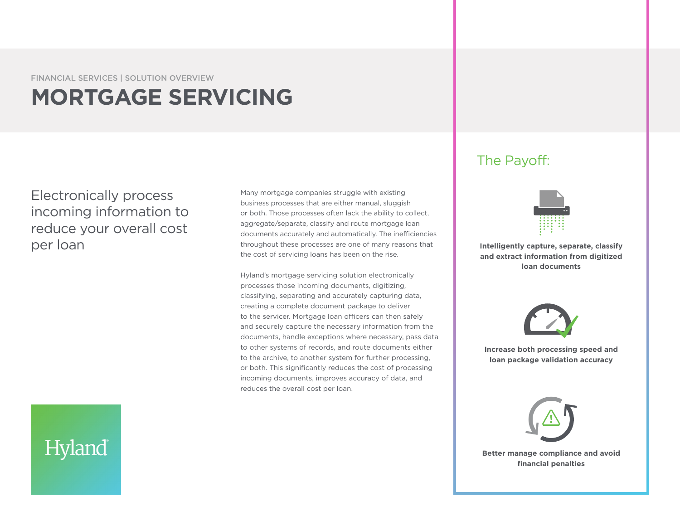FINANCIAL SERVICES | SOLUTION OVERVIEW

# **MORTGAGE SERVICING**

Electronically process incoming information to reduce your overall cost

Many mortgage companies struggle with existing business processes that are either manual, sluggish or both. Those processes often lack the ability to collect, aggregate/separate, classify and route mortgage loan documents accurately and automatically. The inefficiencies per loan **Intelligently capture, separate, classify** throughout these processes are one of many reasons that **Intelligently capture, separate, classify** the cost of servicing loans has been on the rise.

> Hyland's mortgage servicing solution electronically processes those incoming documents, digitizing, classifying, separating and accurately capturing data, creating a complete document package to deliver to the servicer. Mortgage loan officers can then safely and securely capture the necessary information from the documents, handle exceptions where necessary, pass data to other systems of records, and route documents either to the archive, to another system for further processing, or both. This significantly reduces the cost of processing incoming documents, improves accuracy of data, and reduces the overall cost per loan.

## The Payoff:



**and extract information from digitized loan documents**



**Increase both processing speed and loan package validation accuracy**



**Better manage compliance and avoid financial penalties**